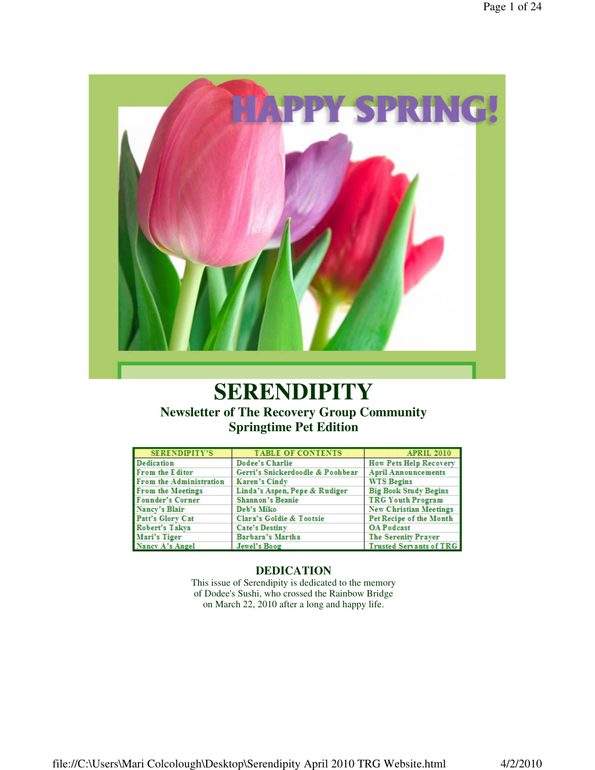

# **SERENDIPITY**

**Newsletter of The Recovery Group Community Springtime Pet Edition**

| <b>SERENDIPITY'S</b>    | <b>TABLE OF CONTENTS</b>         | <b>APRIL 2010</b>              |
|-------------------------|----------------------------------|--------------------------------|
| <b>Dedication</b>       | Dodee's Charlie                  | <b>How Pets Help Recovery</b>  |
| From the Editor         | Gerri's Snickerdoodle & Poohbear | <b>April Announcements</b>     |
| From the Administration | Karen's Cindy                    | <b>WTS Begins</b>              |
| From the Meetings       | Linda's Aspen, Pepe & Rudiger    | <b>Big Book Study Begins</b>   |
| <b>Founder's Corner</b> | <b>Shannon's Beanie</b>          | <b>TRG Youth Program</b>       |
| Nancy's Blair           | Deb's Miko                       | <b>New Christian Meetings</b>  |
| Patt's Glory Cat        | Clara's Goldie & Tootsie         | Pet Recipe of the Month        |
| Robert's Takva          | <b>Cate's Destiny</b>            | <b>OA</b> Podcast              |
| Mari's Tiger            | Barbara's Martha                 | The Serenity Prayer            |
| Nancy A's Angel         | Jewel's Boog                     | <b>Trusted Servants of TRG</b> |

### **DEDICATION**

This issue of Serendipity is dedicated to the memory of Dodee's Sushi, who crossed the Rainbow Bridge on March 22, 2010 after a long and happy life.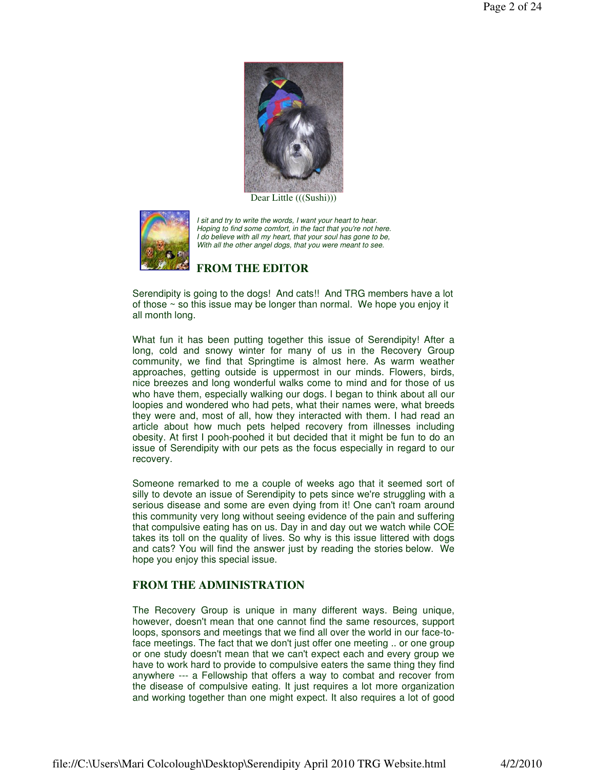

Dear Little (((Sushi)))



I sit and try to write the words, I want your heart to hear. Hoping to find some comfort, in the fact that you're not here. I do believe with all my heart, that your soul has gone to be, With all the other angel dogs, that you were meant to see.

#### **FROM THE EDITOR**

Serendipity is going to the dogs! And cats!! And TRG members have a lot of those ~ so this issue may be longer than normal. We hope you enjoy it all month long.

What fun it has been putting together this issue of Serendipity! After a long, cold and snowy winter for many of us in the Recovery Group community, we find that Springtime is almost here. As warm weather approaches, getting outside is uppermost in our minds. Flowers, birds, nice breezes and long wonderful walks come to mind and for those of us who have them, especially walking our dogs. I began to think about all our loopies and wondered who had pets, what their names were, what breeds they were and, most of all, how they interacted with them. I had read an article about how much pets helped recovery from illnesses including obesity. At first I pooh-poohed it but decided that it might be fun to do an issue of Serendipity with our pets as the focus especially in regard to our recovery.

Someone remarked to me a couple of weeks ago that it seemed sort of silly to devote an issue of Serendipity to pets since we're struggling with a serious disease and some are even dying from it! One can't roam around this community very long without seeing evidence of the pain and suffering that compulsive eating has on us. Day in and day out we watch while COE takes its toll on the quality of lives. So why is this issue littered with dogs and cats? You will find the answer just by reading the stories below. We hope you enjoy this special issue.

### **FROM THE ADMINISTRATION**

The Recovery Group is unique in many different ways. Being unique, however, doesn't mean that one cannot find the same resources, support loops, sponsors and meetings that we find all over the world in our face-toface meetings. The fact that we don't just offer one meeting .. or one group or one study doesn't mean that we can't expect each and every group we have to work hard to provide to compulsive eaters the same thing they find anywhere --- a Fellowship that offers a way to combat and recover from the disease of compulsive eating. It just requires a lot more organization and working together than one might expect. It also requires a lot of good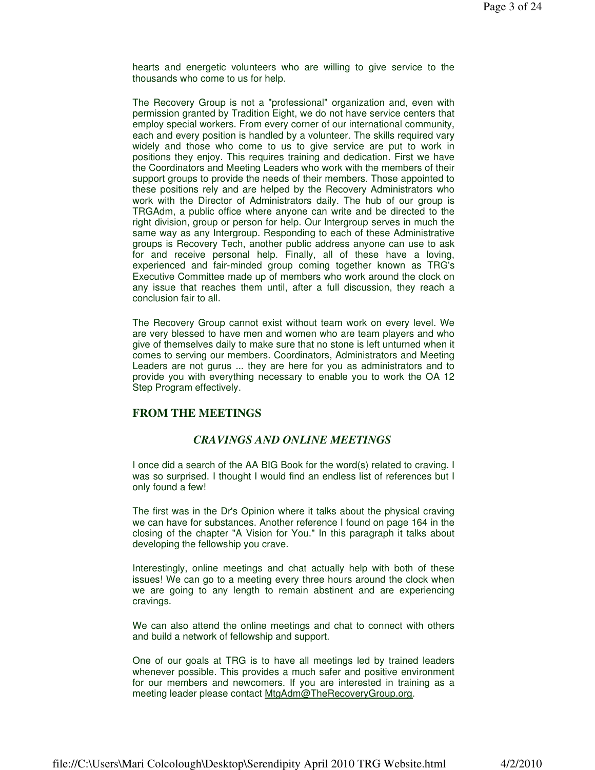hearts and energetic volunteers who are willing to give service to the thousands who come to us for help.

The Recovery Group is not a "professional" organization and, even with permission granted by Tradition Eight, we do not have service centers that employ special workers. From every corner of our international community, each and every position is handled by a volunteer. The skills required vary widely and those who come to us to give service are put to work in positions they enjoy. This requires training and dedication. First we have the Coordinators and Meeting Leaders who work with the members of their support groups to provide the needs of their members. Those appointed to these positions rely and are helped by the Recovery Administrators who work with the Director of Administrators daily. The hub of our group is TRGAdm, a public office where anyone can write and be directed to the right division, group or person for help. Our Intergroup serves in much the same way as any Intergroup. Responding to each of these Administrative groups is Recovery Tech, another public address anyone can use to ask for and receive personal help. Finally, all of these have a loving, experienced and fair-minded group coming together known as TRG's Executive Committee made up of members who work around the clock on any issue that reaches them until, after a full discussion, they reach a conclusion fair to all.

The Recovery Group cannot exist without team work on every level. We are very blessed to have men and women who are team players and who give of themselves daily to make sure that no stone is left unturned when it comes to serving our members. Coordinators, Administrators and Meeting Leaders are not gurus ... they are here for you as administrators and to provide you with everything necessary to enable you to work the OA 12 Step Program effectively.

#### **FROM THE MEETINGS**

#### *CRAVINGS AND ONLINE MEETINGS*

I once did a search of the AA BIG Book for the word(s) related to craving. I was so surprised. I thought I would find an endless list of references but I only found a few!

The first was in the Dr's Opinion where it talks about the physical craving we can have for substances. Another reference I found on page 164 in the closing of the chapter "A Vision for You." In this paragraph it talks about developing the fellowship you crave.

Interestingly, online meetings and chat actually help with both of these issues! We can go to a meeting every three hours around the clock when we are going to any length to remain abstinent and are experiencing cravings.

We can also attend the online meetings and chat to connect with others and build a network of fellowship and support.

One of our goals at TRG is to have all meetings led by trained leaders whenever possible. This provides a much safer and positive environment for our members and newcomers. If you are interested in training as a meeting leader please contact MtgAdm@TheRecoveryGroup.org.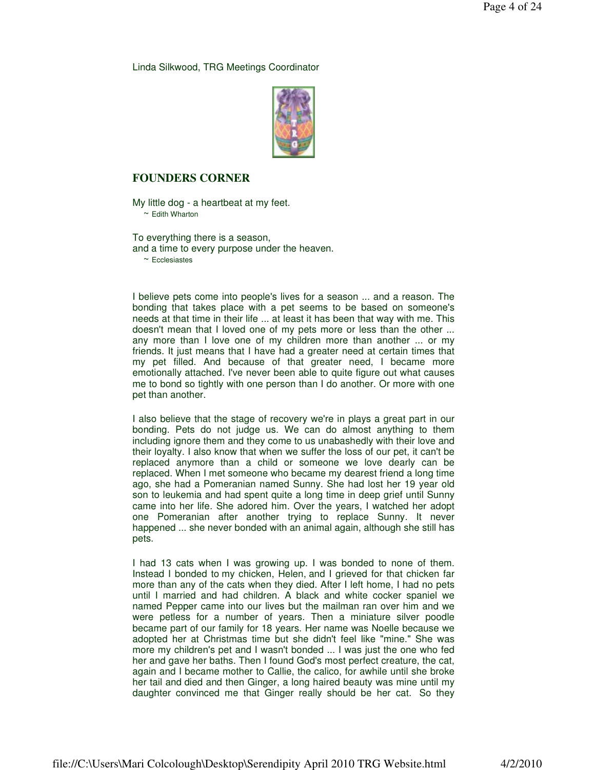Linda Silkwood, TRG Meetings Coordinator



#### **FOUNDERS CORNER**

My little dog - a heartbeat at my feet.  $\sim$  Edith Wharton

To everything there is a season, and a time to every purpose under the heaven.

~ Ecclesiastes

I believe pets come into people's lives for a season ... and a reason. The bonding that takes place with a pet seems to be based on someone's needs at that time in their life ... at least it has been that way with me. This doesn't mean that I loved one of my pets more or less than the other ... any more than I love one of my children more than another ... or my friends. It just means that I have had a greater need at certain times that my pet filled. And because of that greater need, I became more emotionally attached. I've never been able to quite figure out what causes me to bond so tightly with one person than I do another. Or more with one pet than another.

I also believe that the stage of recovery we're in plays a great part in our bonding. Pets do not judge us. We can do almost anything to them including ignore them and they come to us unabashedly with their love and their loyalty. I also know that when we suffer the loss of our pet, it can't be replaced anymore than a child or someone we love dearly can be replaced. When I met someone who became my dearest friend a long time ago, she had a Pomeranian named Sunny. She had lost her 19 year old son to leukemia and had spent quite a long time in deep grief until Sunny came into her life. She adored him. Over the years, I watched her adopt one Pomeranian after another trying to replace Sunny. It never happened ... she never bonded with an animal again, although she still has pets.

I had 13 cats when I was growing up. I was bonded to none of them. Instead I bonded to my chicken, Helen, and I grieved for that chicken far more than any of the cats when they died. After I left home, I had no pets until I married and had children. A black and white cocker spaniel we named Pepper came into our lives but the mailman ran over him and we were petless for a number of years. Then a miniature silver poodle became part of our family for 18 years. Her name was Noelle because we adopted her at Christmas time but she didn't feel like "mine." She was more my children's pet and I wasn't bonded ... I was just the one who fed her and gave her baths. Then I found God's most perfect creature, the cat, again and I became mother to Callie, the calico, for awhile until she broke her tail and died and then Ginger, a long haired beauty was mine until my daughter convinced me that Ginger really should be her cat. So they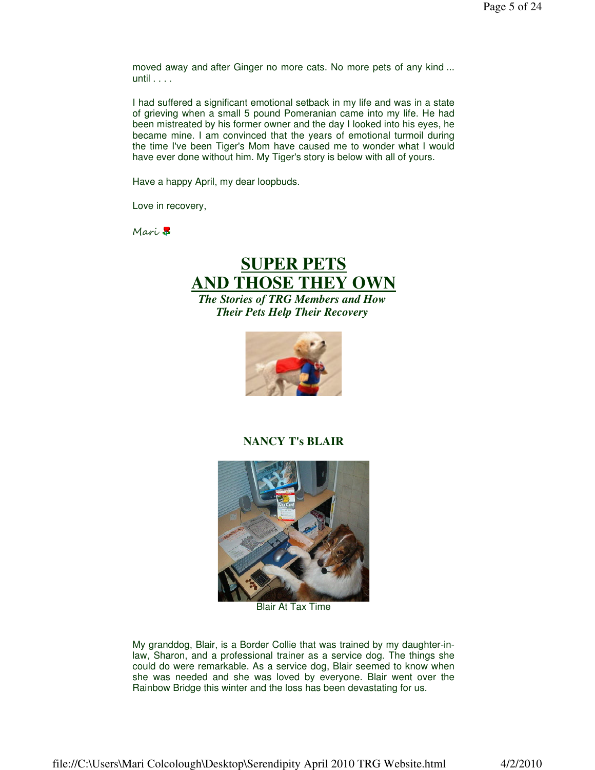moved away and after Ginger no more cats. No more pets of any kind ... until . . . .

I had suffered a significant emotional setback in my life and was in a state of grieving when a small 5 pound Pomeranian came into my life. He had been mistreated by his former owner and the day I looked into his eyes, he became mine. I am convinced that the years of emotional turmoil during the time I've been Tiger's Mom have caused me to wonder what I would have ever done without him. My Tiger's story is below with all of yours.

Have a happy April, my dear loopbuds.

Love in recovery,

Mari<sup>7</sup>

# **SUPER PETS AND THOSE THEY OWN** *The Stories of TRG Members and How*

*Their Pets Help Their Recovery*



#### **NANCY T's BLAIR**



Blair At Tax Time

My granddog, Blair, is a Border Collie that was trained by my daughter-inlaw, Sharon, and a professional trainer as a service dog. The things she could do were remarkable. As a service dog, Blair seemed to know when she was needed and she was loved by everyone. Blair went over the Rainbow Bridge this winter and the loss has been devastating for us.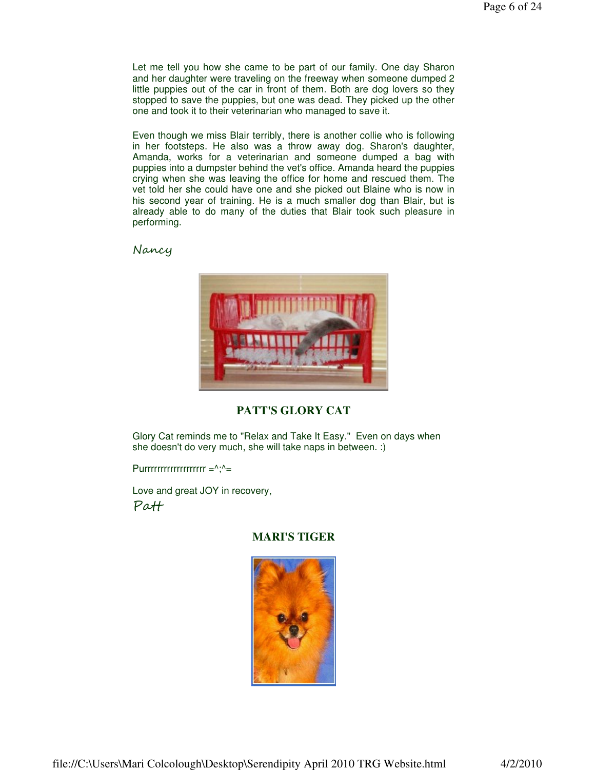Let me tell you how she came to be part of our family. One day Sharon and her daughter were traveling on the freeway when someone dumped 2 little puppies out of the car in front of them. Both are dog lovers so they stopped to save the puppies, but one was dead. They picked up the other one and took it to their veterinarian who managed to save it.

Even though we miss Blair terribly, there is another collie who is following in her footsteps. He also was a throw away dog. Sharon's daughter, Amanda, works for a veterinarian and someone dumped a bag with puppies into a dumpster behind the vet's office. Amanda heard the puppies crying when she was leaving the office for home and rescued them. The vet told her she could have one and she picked out Blaine who is now in his second year of training. He is a much smaller dog than Blair, but is already able to do many of the duties that Blair took such pleasure in performing.

Nancy



### **PATT'S GLORY CAT**

Glory Cat reminds me to "Relax and Take It Easy." Even on days when she doesn't do very much, she will take naps in between. :)

Purrrrrrrrrrrrrrrrrrrrr $=^{\wedge}$ ; $^{\wedge}$ =

Love and great JOY in recovery, Patt

#### **MARI'S TIGER**

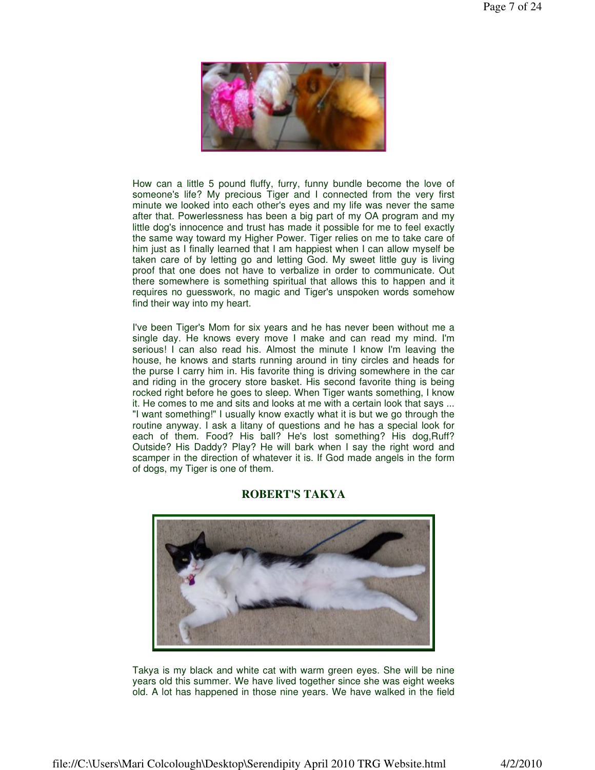

How can a little 5 pound fluffy, furry, funny bundle become the love of someone's life? My precious Tiger and I connected from the very first minute we looked into each other's eyes and my life was never the same after that. Powerlessness has been a big part of my OA program and my little dog's innocence and trust has made it possible for me to feel exactly the same way toward my Higher Power. Tiger relies on me to take care of him just as I finally learned that I am happiest when I can allow myself be taken care of by letting go and letting God. My sweet little guy is living proof that one does not have to verbalize in order to communicate. Out there somewhere is something spiritual that allows this to happen and it requires no guesswork, no magic and Tiger's unspoken words somehow find their way into my heart.

I've been Tiger's Mom for six years and he has never been without me a single day. He knows every move I make and can read my mind. I'm serious! I can also read his. Almost the minute I know I'm leaving the house, he knows and starts running around in tiny circles and heads for the purse I carry him in. His favorite thing is driving somewhere in the car and riding in the grocery store basket. His second favorite thing is being rocked right before he goes to sleep. When Tiger wants something, I know it. He comes to me and sits and looks at me with a certain look that says ... "I want something!" I usually know exactly what it is but we go through the routine anyway. I ask a litany of questions and he has a special look for each of them. Food? His ball? He's lost something? His dog,Ruff? Outside? His Daddy? Play? He will bark when I say the right word and scamper in the direction of whatever it is. If God made angels in the form of dogs, my Tiger is one of them.



#### **ROBERT'S TAKYA**

Takya is my black and white cat with warm green eyes. She will be nine years old this summer. We have lived together since she was eight weeks old. A lot has happened in those nine years. We have walked in the field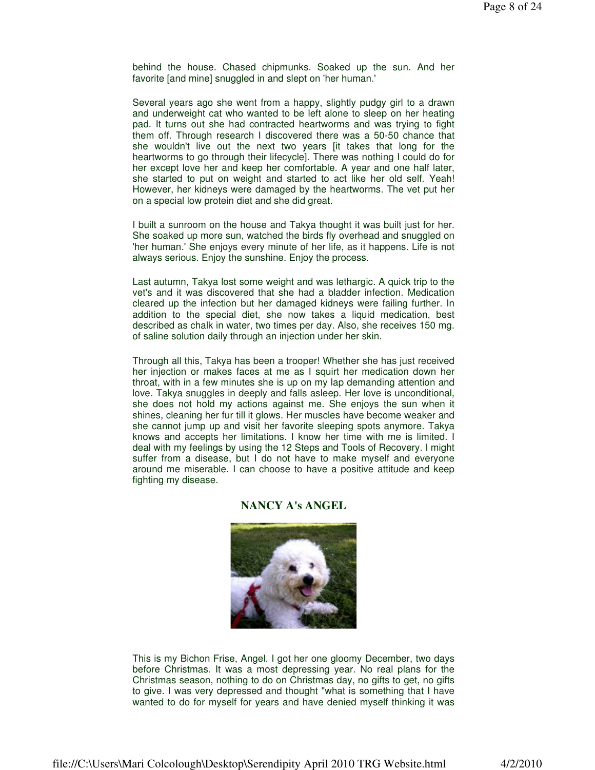behind the house. Chased chipmunks. Soaked up the sun. And her favorite [and mine] snuggled in and slept on 'her human.'

Several years ago she went from a happy, slightly pudgy girl to a drawn and underweight cat who wanted to be left alone to sleep on her heating pad. It turns out she had contracted heartworms and was trying to fight them off. Through research I discovered there was a 50-50 chance that she wouldn't live out the next two years [it takes that long for the heartworms to go through their lifecycle]. There was nothing I could do for her except love her and keep her comfortable. A year and one half later, she started to put on weight and started to act like her old self. Yeah! However, her kidneys were damaged by the heartworms. The vet put her on a special low protein diet and she did great.

I built a sunroom on the house and Takya thought it was built just for her. She soaked up more sun, watched the birds fly overhead and snuggled on 'her human.' She enjoys every minute of her life, as it happens. Life is not always serious. Enjoy the sunshine. Enjoy the process.

Last autumn, Takya lost some weight and was lethargic. A quick trip to the vet's and it was discovered that she had a bladder infection. Medication cleared up the infection but her damaged kidneys were failing further. In addition to the special diet, she now takes a liquid medication, best described as chalk in water, two times per day. Also, she receives 150 mg. of saline solution daily through an injection under her skin.

Through all this, Takya has been a trooper! Whether she has just received her injection or makes faces at me as I squirt her medication down her throat, with in a few minutes she is up on my lap demanding attention and love. Takya snuggles in deeply and falls asleep. Her love is unconditional, she does not hold my actions against me. She enjoys the sun when it shines, cleaning her fur till it glows. Her muscles have become weaker and she cannot jump up and visit her favorite sleeping spots anymore. Takya knows and accepts her limitations. I know her time with me is limited. I deal with my feelings by using the 12 Steps and Tools of Recovery. I might suffer from a disease, but I do not have to make myself and everyone around me miserable. I can choose to have a positive attitude and keep fighting my disease.

#### **NANCY A's ANGEL**



This is my Bichon Frise, Angel. I got her one gloomy December, two days before Christmas. It was a most depressing year. No real plans for the Christmas season, nothing to do on Christmas day, no gifts to get, no gifts to give. I was very depressed and thought "what is something that I have wanted to do for myself for years and have denied myself thinking it was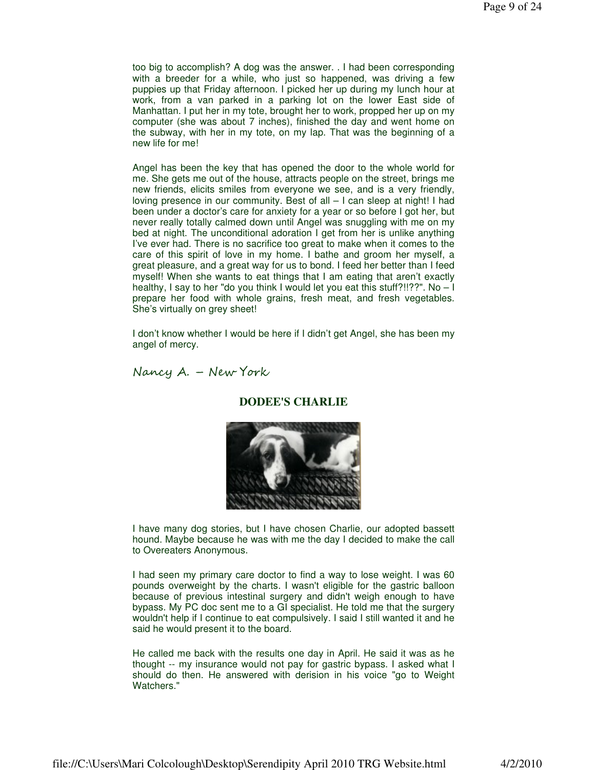too big to accomplish? A dog was the answer. . I had been corresponding with a breeder for a while, who just so happened, was driving a few puppies up that Friday afternoon. I picked her up during my lunch hour at work, from a van parked in a parking lot on the lower East side of Manhattan. I put her in my tote, brought her to work, propped her up on my computer (she was about 7 inches), finished the day and went home on the subway, with her in my tote, on my lap. That was the beginning of a new life for me!

Angel has been the key that has opened the door to the whole world for me. She gets me out of the house, attracts people on the street, brings me new friends, elicits smiles from everyone we see, and is a very friendly, loving presence in our community. Best of all – I can sleep at night! I had been under a doctor's care for anxiety for a year or so before I got her, but never really totally calmed down until Angel was snuggling with me on my bed at night. The unconditional adoration I get from her is unlike anything I've ever had. There is no sacrifice too great to make when it comes to the care of this spirit of love in my home. I bathe and groom her myself, a great pleasure, and a great way for us to bond. I feed her better than I feed myself! When she wants to eat things that I am eating that aren't exactly healthy, I say to her "do you think I would let you eat this stuff?!!??". No – I prepare her food with whole grains, fresh meat, and fresh vegetables. She's virtually on grey sheet!

I don't know whether I would be here if I didn't get Angel, she has been my angel of mercy.

Nancy A. – New York

#### **DODEE'S CHARLIE**



I have many dog stories, but I have chosen Charlie, our adopted bassett hound. Maybe because he was with me the day I decided to make the call to Overeaters Anonymous.

I had seen my primary care doctor to find a way to lose weight. I was 60 pounds overweight by the charts. I wasn't eligible for the gastric balloon because of previous intestinal surgery and didn't weigh enough to have bypass. My PC doc sent me to a GI specialist. He told me that the surgery wouldn't help if I continue to eat compulsively. I said I still wanted it and he said he would present it to the board.

He called me back with the results one day in April. He said it was as he thought -- my insurance would not pay for gastric bypass. I asked what I should do then. He answered with derision in his voice "go to Weight Watchers."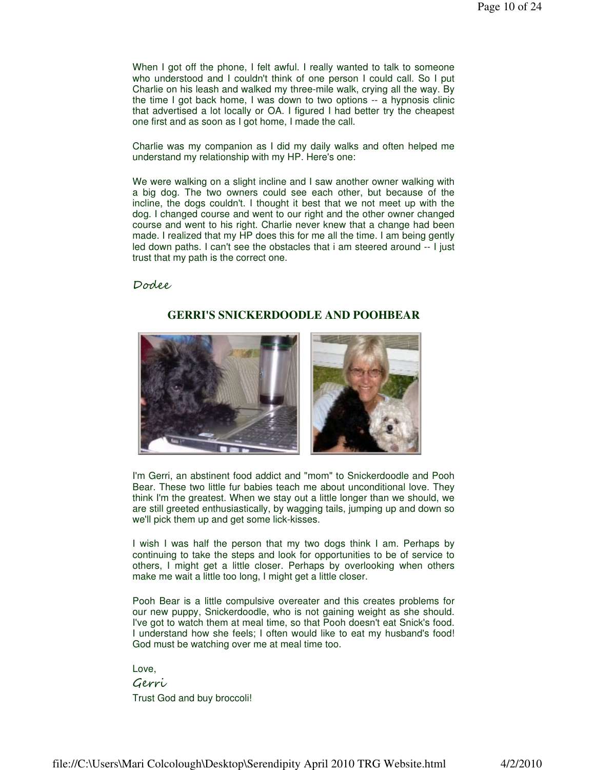When I got off the phone, I felt awful. I really wanted to talk to someone who understood and I couldn't think of one person I could call. So I put Charlie on his leash and walked my three-mile walk, crying all the way. By the time I got back home, I was down to two options -- a hypnosis clinic that advertised a lot locally or OA. I figured I had better try the cheapest one first and as soon as I got home, I made the call.

Charlie was my companion as I did my daily walks and often helped me understand my relationship with my HP. Here's one:

We were walking on a slight incline and I saw another owner walking with a big dog. The two owners could see each other, but because of the incline, the dogs couldn't. I thought it best that we not meet up with the dog. I changed course and went to our right and the other owner changed course and went to his right. Charlie never knew that a change had been made. I realized that my HP does this for me all the time. I am being gently led down paths. I can't see the obstacles that i am steered around -- I just trust that my path is the correct one.

**GERRI'S SNICKERDOODLE AND POOHBEAR**

Dodee

I'm Gerri, an abstinent food addict and "mom" to Snickerdoodle and Pooh Bear. These two little fur babies teach me about unconditional love. They think I'm the greatest. When we stay out a little longer than we should, we are still greeted enthusiastically, by wagging tails, jumping up and down so we'll pick them up and get some lick-kisses.

I wish I was half the person that my two dogs think I am. Perhaps by continuing to take the steps and look for opportunities to be of service to others, I might get a little closer. Perhaps by overlooking when others make me wait a little too long, I might get a little closer.

Pooh Bear is a little compulsive overeater and this creates problems for our new puppy, Snickerdoodle, who is not gaining weight as she should. I've got to watch them at meal time, so that Pooh doesn't eat Snick's food. I understand how she feels; I often would like to eat my husband's food! God must be watching over me at meal time too.

Love, Gerri Trust God and buy broccoli!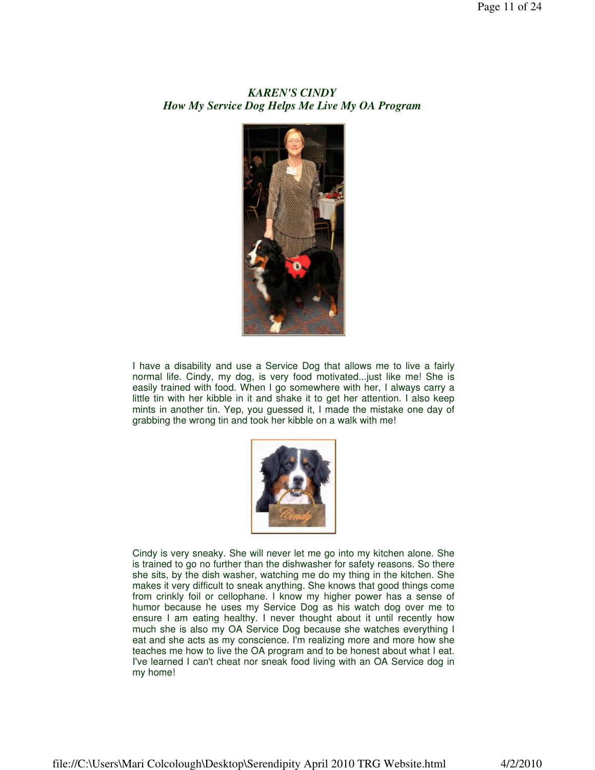# *KAREN'S CINDY How My Service Dog Helps Me Live My OA Program*



I have a disability and use a Service Dog that allows me to live a fairly normal life. Cindy, my dog, is very food motivated...just like me! She is easily trained with food. When I go somewhere with her, I always carry a little tin with her kibble in it and shake it to get her attention. I also keep mints in another tin. Yep, you guessed it, I made the mistake one day of grabbing the wrong tin and took her kibble on a walk with me!



Cindy is very sneaky. She will never let me go into my kitchen alone. She is trained to go no further than the dishwasher for safety reasons. So there she sits, by the dish washer, watching me do my thing in the kitchen. She makes it very difficult to sneak anything. She knows that good things come from crinkly foil or cellophane. I know my higher power has a sense of humor because he uses my Service Dog as his watch dog over me to ensure I am eating healthy. I never thought about it until recently how much she is also my OA Service Dog because she watches everything I eat and she acts as my conscience. I'm realizing more and more how she teaches me how to live the OA program and to be honest about what I eat. I've learned I can't cheat nor sneak food living with an OA Service dog in my home!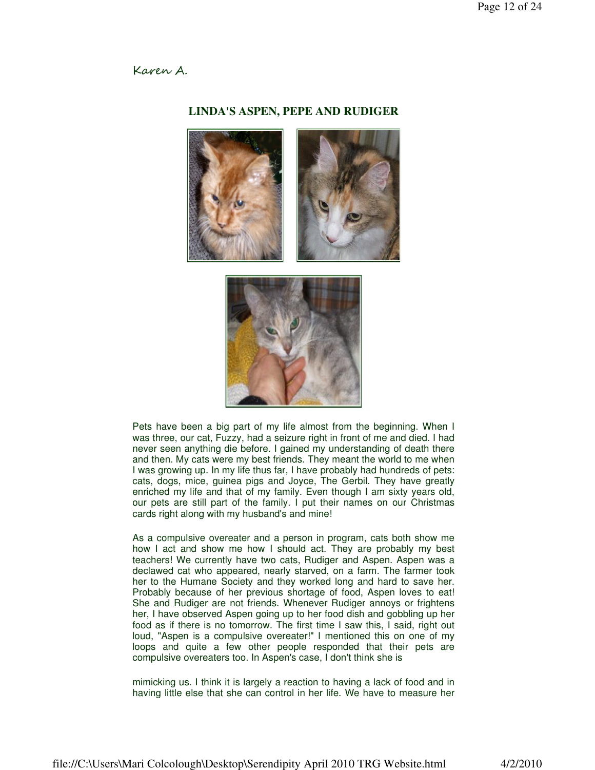#### Karen A.

#### **LINDA'S ASPEN, PEPE AND RUDIGER**





Pets have been a big part of my life almost from the beginning. When I was three, our cat, Fuzzy, had a seizure right in front of me and died. I had never seen anything die before. I gained my understanding of death there and then. My cats were my best friends. They meant the world to me when I was growing up. In my life thus far, I have probably had hundreds of pets: cats, dogs, mice, guinea pigs and Joyce, The Gerbil. They have greatly enriched my life and that of my family. Even though I am sixty years old, our pets are still part of the family. I put their names on our Christmas cards right along with my husband's and mine!

As a compulsive overeater and a person in program, cats both show me how I act and show me how I should act. They are probably my best teachers! We currently have two cats, Rudiger and Aspen. Aspen was a declawed cat who appeared, nearly starved, on a farm. The farmer took her to the Humane Society and they worked long and hard to save her. Probably because of her previous shortage of food, Aspen loves to eat! She and Rudiger are not friends. Whenever Rudiger annoys or frightens her, I have observed Aspen going up to her food dish and gobbling up her food as if there is no tomorrow. The first time I saw this, I said, right out loud, "Aspen is a compulsive overeater!" I mentioned this on one of my loops and quite a few other people responded that their pets are compulsive overeaters too. In Aspen's case, I don't think she is

mimicking us. I think it is largely a reaction to having a lack of food and in having little else that she can control in her life. We have to measure her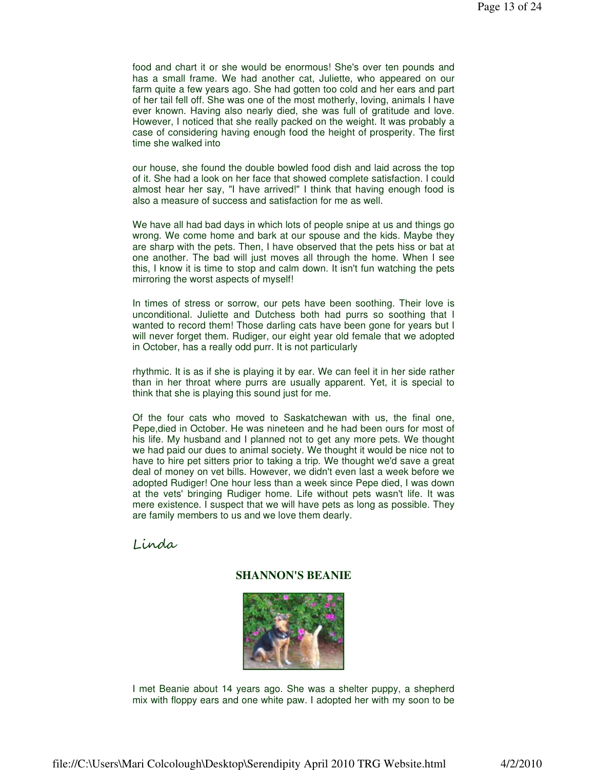food and chart it or she would be enormous! She's over ten pounds and has a small frame. We had another cat, Juliette, who appeared on our farm quite a few years ago. She had gotten too cold and her ears and part of her tail fell off. She was one of the most motherly, loving, animals I have ever known. Having also nearly died, she was full of gratitude and love. However, I noticed that she really packed on the weight. It was probably a case of considering having enough food the height of prosperity. The first time she walked into

our house, she found the double bowled food dish and laid across the top of it. She had a look on her face that showed complete satisfaction. I could almost hear her say, "I have arrived!" I think that having enough food is also a measure of success and satisfaction for me as well.

We have all had bad days in which lots of people snipe at us and things go wrong. We come home and bark at our spouse and the kids. Maybe they are sharp with the pets. Then, I have observed that the pets hiss or bat at one another. The bad will just moves all through the home. When I see this, I know it is time to stop and calm down. It isn't fun watching the pets mirroring the worst aspects of myself!

In times of stress or sorrow, our pets have been soothing. Their love is unconditional. Juliette and Dutchess both had purrs so soothing that I wanted to record them! Those darling cats have been gone for years but I will never forget them. Rudiger, our eight year old female that we adopted in October, has a really odd purr. It is not particularly

rhythmic. It is as if she is playing it by ear. We can feel it in her side rather than in her throat where purrs are usually apparent. Yet, it is special to think that she is playing this sound just for me.

Of the four cats who moved to Saskatchewan with us, the final one, Pepe,died in October. He was nineteen and he had been ours for most of his life. My husband and I planned not to get any more pets. We thought we had paid our dues to animal society. We thought it would be nice not to have to hire pet sitters prior to taking a trip. We thought we'd save a great deal of money on vet bills. However, we didn't even last a week before we adopted Rudiger! One hour less than a week since Pepe died, I was down at the vets' bringing Rudiger home. Life without pets wasn't life. It was mere existence. I suspect that we will have pets as long as possible. They are family members to us and we love them dearly.

### Linda

#### **SHANNON'S BEANIE**



I met Beanie about 14 years ago. She was a shelter puppy, a shepherd mix with floppy ears and one white paw. I adopted her with my soon to be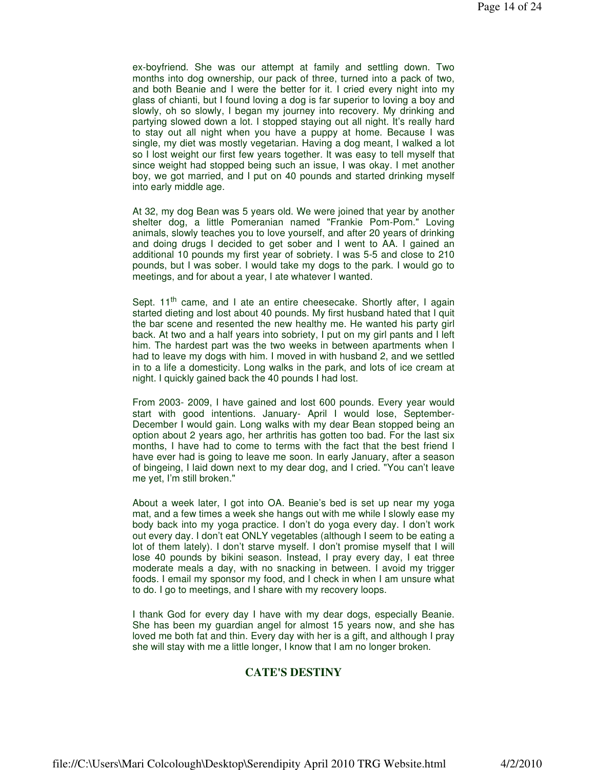ex-boyfriend. She was our attempt at family and settling down. Two months into dog ownership, our pack of three, turned into a pack of two, and both Beanie and I were the better for it. I cried every night into my glass of chianti, but I found loving a dog is far superior to loving a boy and slowly, oh so slowly, I began my journey into recovery. My drinking and partying slowed down a lot. I stopped staying out all night. It's really hard to stay out all night when you have a puppy at home. Because I was single, my diet was mostly vegetarian. Having a dog meant, I walked a lot so I lost weight our first few years together. It was easy to tell myself that since weight had stopped being such an issue, I was okay. I met another boy, we got married, and I put on 40 pounds and started drinking myself into early middle age.

At 32, my dog Bean was 5 years old. We were joined that year by another shelter dog, a little Pomeranian named "Frankie Pom-Pom." Loving animals, slowly teaches you to love yourself, and after 20 years of drinking and doing drugs I decided to get sober and I went to AA. I gained an additional 10 pounds my first year of sobriety. I was 5-5 and close to 210 pounds, but I was sober. I would take my dogs to the park. I would go to meetings, and for about a year, I ate whatever I wanted.

Sept. 11<sup>th</sup> came, and I ate an entire cheesecake. Shortly after, I again started dieting and lost about 40 pounds. My first husband hated that I quit the bar scene and resented the new healthy me. He wanted his party girl back. At two and a half years into sobriety, I put on my girl pants and I left him. The hardest part was the two weeks in between apartments when I had to leave my dogs with him. I moved in with husband 2, and we settled in to a life a domesticity. Long walks in the park, and lots of ice cream at night. I quickly gained back the 40 pounds I had lost.

From 2003- 2009, I have gained and lost 600 pounds. Every year would start with good intentions. January- April I would lose, September-December I would gain. Long walks with my dear Bean stopped being an option about 2 years ago, her arthritis has gotten too bad. For the last six months, I have had to come to terms with the fact that the best friend I have ever had is going to leave me soon. In early January, after a season of bingeing, I laid down next to my dear dog, and I cried. "You can't leave me yet, I'm still broken."

About a week later, I got into OA. Beanie's bed is set up near my yoga mat, and a few times a week she hangs out with me while I slowly ease my body back into my yoga practice. I don't do yoga every day. I don't work out every day. I don't eat ONLY vegetables (although I seem to be eating a lot of them lately). I don't starve myself. I don't promise myself that I will lose 40 pounds by bikini season. Instead, I pray every day, I eat three moderate meals a day, with no snacking in between. I avoid my trigger foods. I email my sponsor my food, and I check in when I am unsure what to do. I go to meetings, and I share with my recovery loops.

I thank God for every day I have with my dear dogs, especially Beanie. She has been my guardian angel for almost 15 years now, and she has loved me both fat and thin. Every day with her is a gift, and although I pray she will stay with me a little longer, I know that I am no longer broken.

#### **CATE'S DESTINY**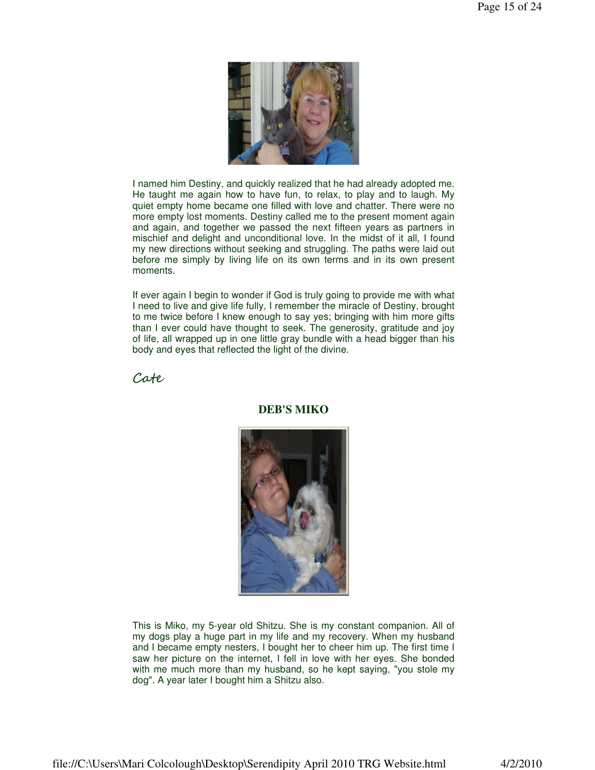

I named him Destiny, and quickly realized that he had already adopted me. He taught me again how to have fun, to relax, to play and to laugh. My quiet empty home became one filled with love and chatter. There were no more empty lost moments. Destiny called me to the present moment again and again, and together we passed the next fifteen years as partners in mischief and delight and unconditional love. In the midst of it all, I found my new directions without seeking and struggling. The paths were laid out before me simply by living life on its own terms and in its own present moments.

If ever again I begin to wonder if God is truly going to provide me with what I need to live and give life fully, I remember the miracle of Destiny, brought to me twice before I knew enough to say yes; bringing with him more gifts than I ever could have thought to seek. The generosity, gratitude and joy of life, all wrapped up in one little gray bundle with a head bigger than his body and eyes that reflected the light of the divine.

Cate



**DEB'S MIKO**

This is Miko, my 5-year old Shitzu. She is my constant companion. All of my dogs play a huge part in my life and my recovery. When my husband and I became empty nesters, I bought her to cheer him up. The first time I saw her picture on the internet, I fell in love with her eyes. She bonded with me much more than my husband, so he kept saying, "you stole my dog". A year later I bought him a Shitzu also.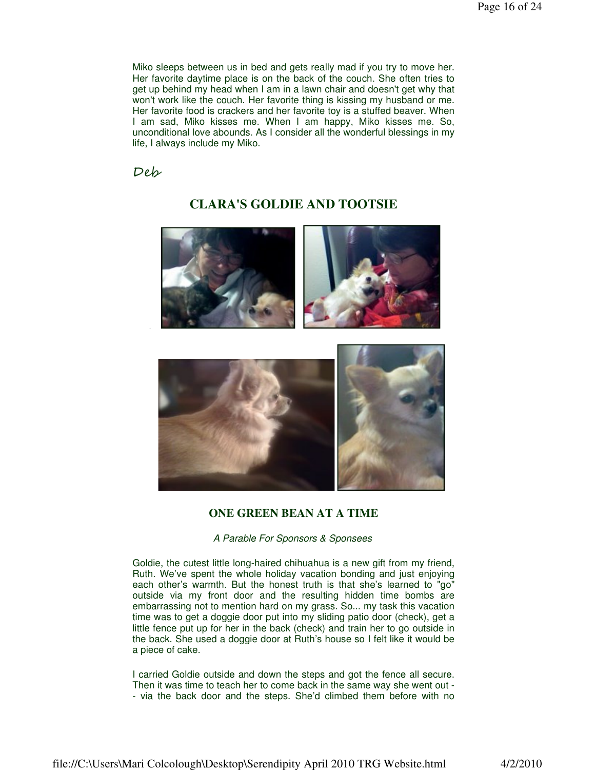Miko sleeps between us in bed and gets really mad if you try to move her. Her favorite daytime place is on the back of the couch. She often tries to get up behind my head when I am in a lawn chair and doesn't get why that won't work like the couch. Her favorite thing is kissing my husband or me. Her favorite food is crackers and her favorite toy is a stuffed beaver. When I am sad, Miko kisses me. When I am happy, Miko kisses me. So, unconditional love abounds. As I consider all the wonderful blessings in my life, I always include my Miko.

Deb

# **CLARA'S GOLDIE AND TOOTSIE**





#### **ONE GREEN BEAN AT A TIME**

#### A Parable For Sponsors & Sponsees

Goldie, the cutest little long-haired chihuahua is a new gift from my friend, Ruth. We've spent the whole holiday vacation bonding and just enjoying each other's warmth. But the honest truth is that she's learned to "go" outside via my front door and the resulting hidden time bombs are embarrassing not to mention hard on my grass. So... my task this vacation time was to get a doggie door put into my sliding patio door (check), get a little fence put up for her in the back (check) and train her to go outside in the back. She used a doggie door at Ruth's house so I felt like it would be a piece of cake.

I carried Goldie outside and down the steps and got the fence all secure. Then it was time to teach her to come back in the same way she went out - - via the back door and the steps. She'd climbed them before with no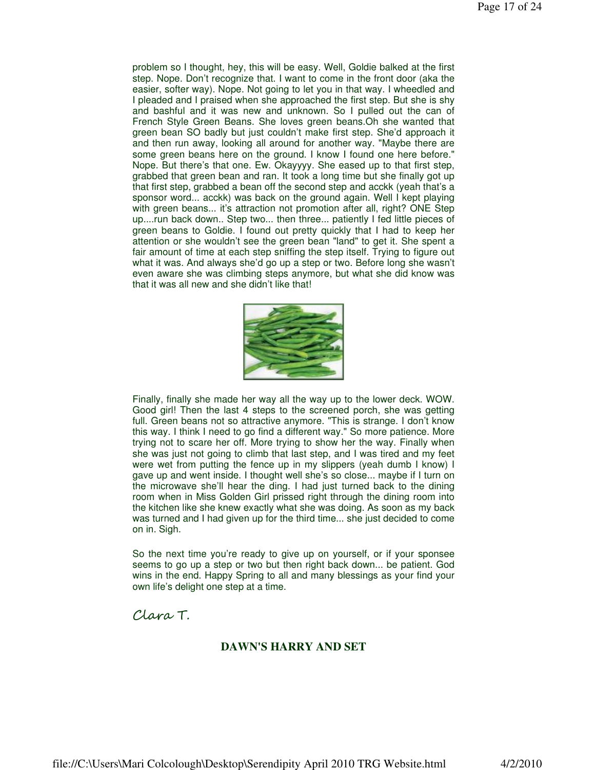problem so I thought, hey, this will be easy. Well, Goldie balked at the first step. Nope. Don't recognize that. I want to come in the front door (aka the easier, softer way). Nope. Not going to let you in that way. I wheedled and I pleaded and I praised when she approached the first step. But she is shy and bashful and it was new and unknown. So I pulled out the can of French Style Green Beans. She loves green beans.Oh she wanted that green bean SO badly but just couldn't make first step. She'd approach it and then run away, looking all around for another way. "Maybe there are some green beans here on the ground. I know I found one here before." Nope. But there's that one. Ew. Okayyyy. She eased up to that first step, grabbed that green bean and ran. It took a long time but she finally got up that first step, grabbed a bean off the second step and acckk (yeah that's a sponsor word... acckk) was back on the ground again. Well I kept playing with green beans... it's attraction not promotion after all, right? ONE Step up....run back down.. Step two... then three... patiently I fed little pieces of green beans to Goldie. I found out pretty quickly that I had to keep her attention or she wouldn't see the green bean "land" to get it. She spent a fair amount of time at each step sniffing the step itself. Trying to figure out what it was. And always she'd go up a step or two. Before long she wasn't even aware she was climbing steps anymore, but what she did know was that it was all new and she didn't like that!



Finally, finally she made her way all the way up to the lower deck. WOW. Good girl! Then the last 4 steps to the screened porch, she was getting full. Green beans not so attractive anymore. "This is strange. I don't know this way. I think I need to go find a different way." So more patience. More trying not to scare her off. More trying to show her the way. Finally when she was just not going to climb that last step, and I was tired and my feet were wet from putting the fence up in my slippers (yeah dumb I know) I gave up and went inside. I thought well she's so close... maybe if I turn on the microwave she'll hear the ding. I had just turned back to the dining room when in Miss Golden Girl prissed right through the dining room into the kitchen like she knew exactly what she was doing. As soon as my back was turned and I had given up for the third time... she just decided to come on in. Sigh.

So the next time you're ready to give up on yourself, or if your sponsee seems to go up a step or two but then right back down... be patient. God wins in the end. Happy Spring to all and many blessings as your find your own life's delight one step at a time.

# Clara T.

### **DAWN'S HARRY AND SET**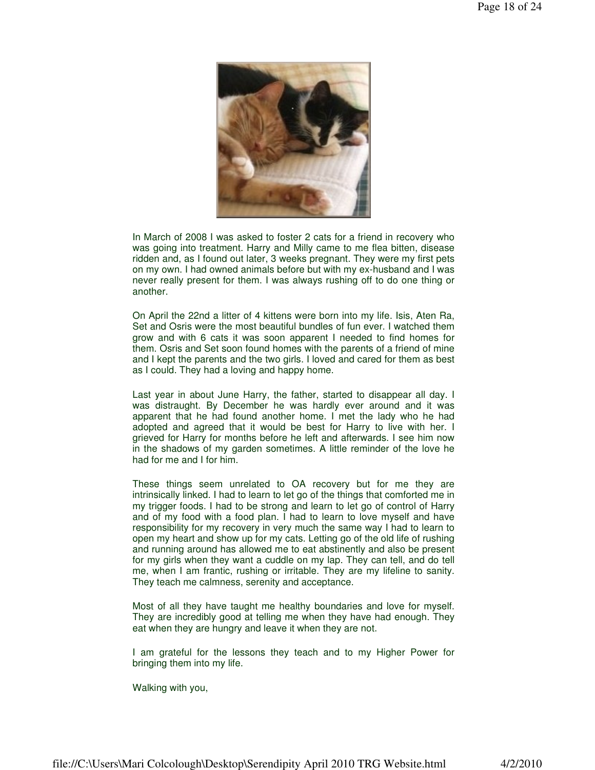

In March of 2008 I was asked to foster 2 cats for a friend in recovery who was going into treatment. Harry and Milly came to me flea bitten, disease ridden and, as I found out later, 3 weeks pregnant. They were my first pets on my own. I had owned animals before but with my ex-husband and I was never really present for them. I was always rushing off to do one thing or another.

On April the 22nd a litter of 4 kittens were born into my life. Isis, Aten Ra, Set and Osris were the most beautiful bundles of fun ever. I watched them grow and with 6 cats it was soon apparent I needed to find homes for them. Osris and Set soon found homes with the parents of a friend of mine and I kept the parents and the two girls. I loved and cared for them as best as I could. They had a loving and happy home.

Last year in about June Harry, the father, started to disappear all day. I was distraught. By December he was hardly ever around and it was apparent that he had found another home. I met the lady who he had adopted and agreed that it would be best for Harry to live with her. I grieved for Harry for months before he left and afterwards. I see him now in the shadows of my garden sometimes. A little reminder of the love he had for me and I for him.

These things seem unrelated to OA recovery but for me they are intrinsically linked. I had to learn to let go of the things that comforted me in my trigger foods. I had to be strong and learn to let go of control of Harry and of my food with a food plan. I had to learn to love myself and have responsibility for my recovery in very much the same way I had to learn to open my heart and show up for my cats. Letting go of the old life of rushing and running around has allowed me to eat abstinently and also be present for my girls when they want a cuddle on my lap. They can tell, and do tell me, when I am frantic, rushing or irritable. They are my lifeline to sanity. They teach me calmness, serenity and acceptance.

Most of all they have taught me healthy boundaries and love for myself. They are incredibly good at telling me when they have had enough. They eat when they are hungry and leave it when they are not.

I am grateful for the lessons they teach and to my Higher Power for bringing them into my life.

Walking with you,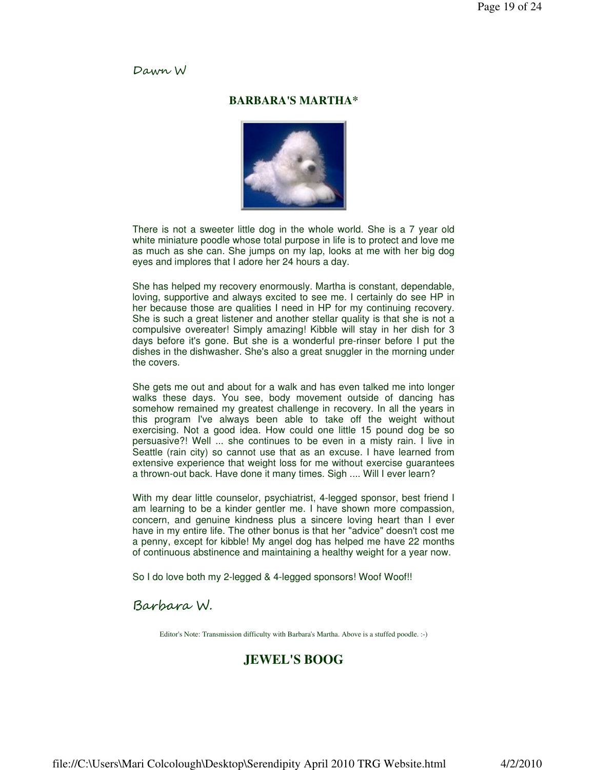#### Dawn W

#### **BARBARA'S MARTHA\***



There is not a sweeter little dog in the whole world. She is a 7 year old white miniature poodle whose total purpose in life is to protect and love me as much as she can. She jumps on my lap, looks at me with her big dog eyes and implores that I adore her 24 hours a day.

She has helped my recovery enormously. Martha is constant, dependable, loving, supportive and always excited to see me. I certainly do see HP in her because those are qualities I need in HP for my continuing recovery. She is such a great listener and another stellar quality is that she is not a compulsive overeater! Simply amazing! Kibble will stay in her dish for 3 days before it's gone. But she is a wonderful pre-rinser before I put the dishes in the dishwasher. She's also a great snuggler in the morning under the covers.

She gets me out and about for a walk and has even talked me into longer walks these days. You see, body movement outside of dancing has somehow remained my greatest challenge in recovery. In all the years in this program I've always been able to take off the weight without exercising. Not a good idea. How could one little 15 pound dog be so persuasive?! Well ... she continues to be even in a misty rain. I live in Seattle (rain city) so cannot use that as an excuse. I have learned from extensive experience that weight loss for me without exercise guarantees a thrown-out back. Have done it many times. Sigh .... Will I ever learn?

With my dear little counselor, psychiatrist, 4-legged sponsor, best friend I am learning to be a kinder gentler me. I have shown more compassion, concern, and genuine kindness plus a sincere loving heart than I ever have in my entire life. The other bonus is that her "advice" doesn't cost me a penny, except for kibble! My angel dog has helped me have 22 months of continuous abstinence and maintaining a healthy weight for a year now.

So I do love both my 2-legged & 4-legged sponsors! Woof Woof!!

# Barbara W.

Editor's Note: Transmission difficulty with Barbara's Martha. Above is a stuffed poodle. :-)

# **JEWEL'S BOOG**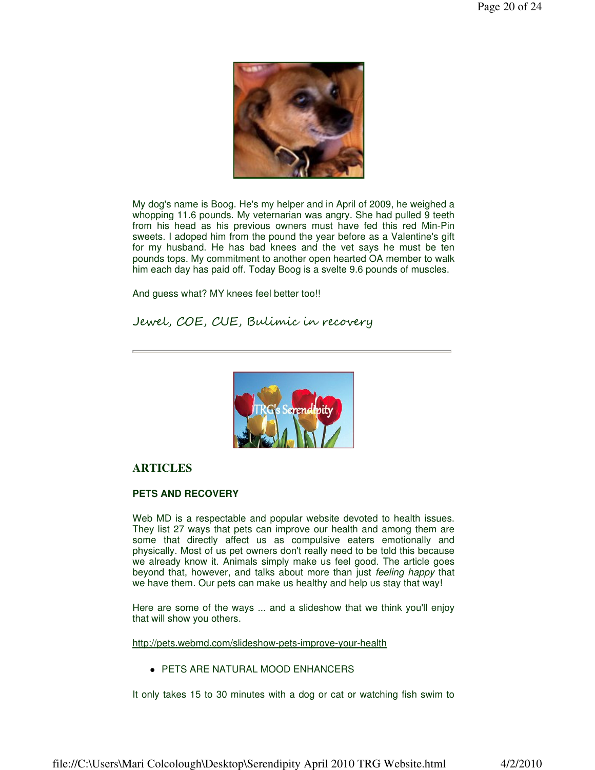

My dog's name is Boog. He's my helper and in April of 2009, he weighed a whopping 11.6 pounds. My veternarian was angry. She had pulled 9 teeth from his head as his previous owners must have fed this red Min-Pin sweets. I adoped him from the pound the year before as a Valentine's gift for my husband. He has bad knees and the vet says he must be ten pounds tops. My commitment to another open hearted OA member to walk him each day has paid off. Today Boog is a svelte 9.6 pounds of muscles.

And guess what? MY knees feel better too!!

Jewel, COE, CUE, Bulimic in recovery



#### **ARTICLES**

#### **PETS AND RECOVERY**

Web MD is a respectable and popular website devoted to health issues. They list 27 ways that pets can improve our health and among them are some that directly affect us as compulsive eaters emotionally and physically. Most of us pet owners don't really need to be told this because we already know it. Animals simply make us feel good. The article goes beyond that, however, and talks about more than just feeling happy that we have them. Our pets can make us healthy and help us stay that way!

Here are some of the ways ... and a slideshow that we think you'll enjoy that will show you others.

http://pets.webmd.com/slideshow-pets-improve-your-health

PETS ARE NATURAL MOOD ENHANCERS

It only takes 15 to 30 minutes with a dog or cat or watching fish swim to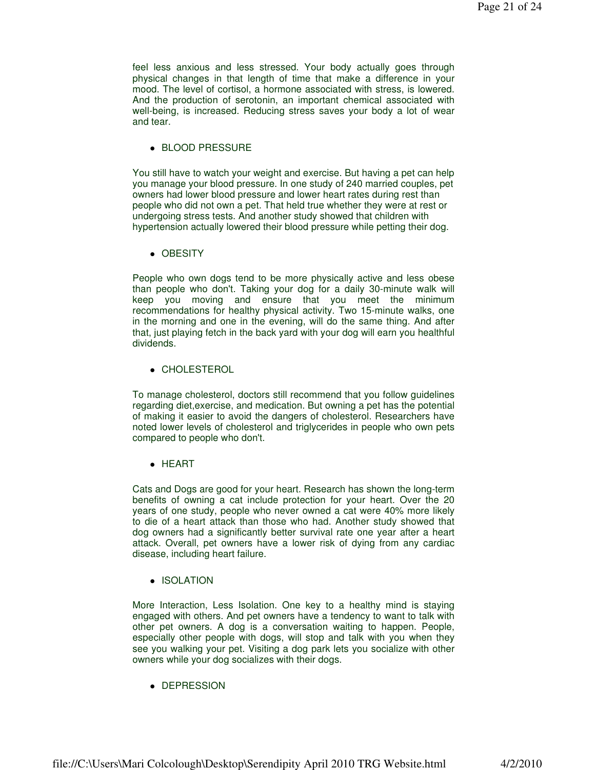feel less anxious and less stressed. Your body actually goes through physical changes in that length of time that make a difference in your mood. The level of cortisol, a hormone associated with stress, is lowered. And the production of serotonin, an important chemical associated with well-being, is increased. Reducing stress saves your body a lot of wear and tear.

BLOOD PRESSURE

You still have to watch your weight and exercise. But having a pet can help you manage your blood pressure. In one study of 240 married couples, pet owners had lower blood pressure and lower heart rates during rest than people who did not own a pet. That held true whether they were at rest or undergoing stress tests. And another study showed that children with hypertension actually lowered their blood pressure while petting their dog.

• OBESITY

People who own dogs tend to be more physically active and less obese than people who don't. Taking your dog for a daily 30-minute walk will keep you moving and ensure that you meet the minimum recommendations for healthy physical activity. Two 15-minute walks, one in the morning and one in the evening, will do the same thing. And after that, just playing fetch in the back yard with your dog will earn you healthful dividends.

CHOLESTEROL

To manage cholesterol, doctors still recommend that you follow guidelines regarding diet,exercise, and medication. But owning a pet has the potential of making it easier to avoid the dangers of cholesterol. Researchers have noted lower levels of cholesterol and triglycerides in people who own pets compared to people who don't.

• HEART

Cats and Dogs are good for your heart. Research has shown the long-term benefits of owning a cat include protection for your heart. Over the 20 years of one study, people who never owned a cat were 40% more likely to die of a heart attack than those who had. Another study showed that dog owners had a significantly better survival rate one year after a heart attack. Overall, pet owners have a lower risk of dying from any cardiac disease, including heart failure.

• ISOLATION

More Interaction, Less Isolation. One key to a healthy mind is staying engaged with others. And pet owners have a tendency to want to talk with other pet owners. A dog is a conversation waiting to happen. People, especially other people with dogs, will stop and talk with you when they see you walking your pet. Visiting a dog park lets you socialize with other owners while your dog socializes with their dogs.

• DEPRESSION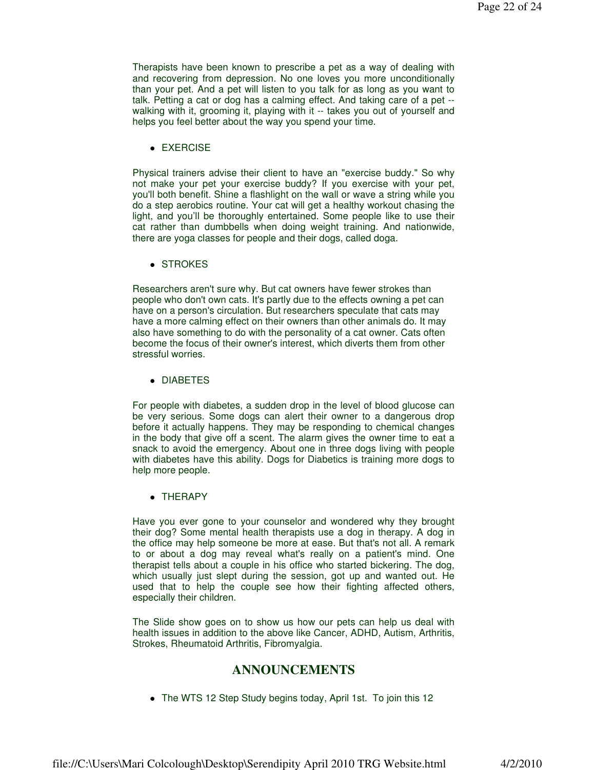Therapists have been known to prescribe a pet as a way of dealing with and recovering from depression. No one loves you more unconditionally than your pet. And a pet will listen to you talk for as long as you want to talk. Petting a cat or dog has a calming effect. And taking care of a pet - walking with it, grooming it, playing with it -- takes you out of yourself and helps you feel better about the way you spend your time.

• EXERCISE

Physical trainers advise their client to have an "exercise buddy." So why not make your pet your exercise buddy? If you exercise with your pet, you'll both benefit. Shine a flashlight on the wall or wave a string while you do a step aerobics routine. Your cat will get a healthy workout chasing the light, and you'll be thoroughly entertained. Some people like to use their cat rather than dumbbells when doing weight training. And nationwide, there are yoga classes for people and their dogs, called doga.

• STROKES

Researchers aren't sure why. But cat owners have fewer strokes than people who don't own cats. It's partly due to the effects owning a pet can have on a person's circulation. But researchers speculate that cats may have a more calming effect on their owners than other animals do. It may also have something to do with the personality of a cat owner. Cats often become the focus of their owner's interest, which diverts them from other stressful worries.

• DIABETES

For people with diabetes, a sudden drop in the level of blood glucose can be very serious. Some dogs can alert their owner to a dangerous drop before it actually happens. They may be responding to chemical changes in the body that give off a scent. The alarm gives the owner time to eat a snack to avoid the emergency. About one in three dogs living with people with diabetes have this ability. Dogs for Diabetics is training more dogs to help more people.

• THERAPY

Have you ever gone to your counselor and wondered why they brought their dog? Some mental health therapists use a dog in therapy. A dog in the office may help someone be more at ease. But that's not all. A remark to or about a dog may reveal what's really on a patient's mind. One therapist tells about a couple in his office who started bickering. The dog, which usually just slept during the session, got up and wanted out. He used that to help the couple see how their fighting affected others, especially their children.

The Slide show goes on to show us how our pets can help us deal with health issues in addition to the above like Cancer, ADHD, Autism, Arthritis, Strokes, Rheumatoid Arthritis, Fibromyalgia.

### **ANNOUNCEMENTS**

• The WTS 12 Step Study begins today, April 1st. To join this 12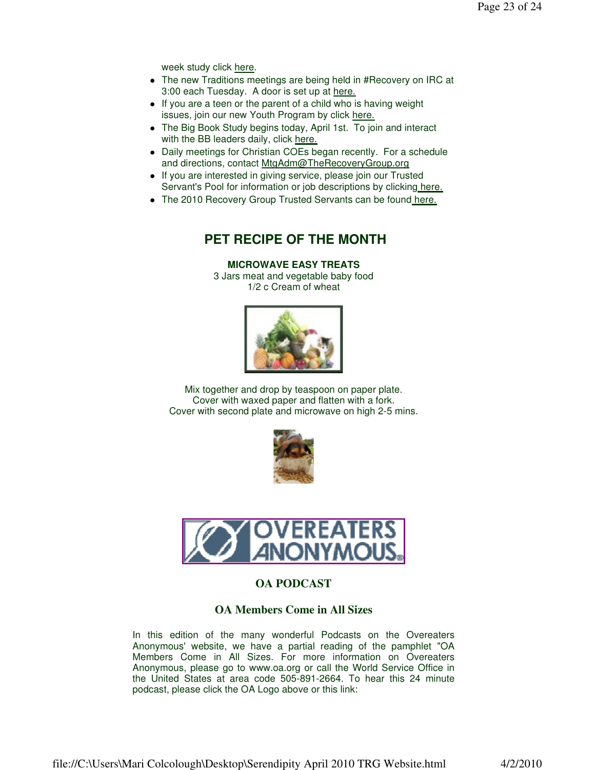week study click here.

- The new Traditions meetings are being held in #Recovery on IRC at 3:00 each Tuesday. A door is set up at here.
- If you are a teen or the parent of a child who is having weight issues, join our new Youth Program by click here.
- The Big Book Study begins today, April 1st. To join and interact with the BB leaders daily, click here.
- Daily meetings for Christian COEs began recently. For a schedule and directions, contact MtgAdm@TheRecoveryGroup.org
- If you are interested in giving service, please join our Trusted Servant's Pool for information or job descriptions by clicking here.
- The 2010 Recovery Group Trusted Servants can be found here.

# **PET RECIPE OF THE MONTH**

#### **MICROWAVE EASY TREATS**

3 Jars meat and vegetable baby food 1/2 c Cream of wheat



Mix together and drop by teaspoon on paper plate. Cover with waxed paper and flatten with a fork. Cover with second plate and microwave on high 2-5 mins.





### **OA PODCAST**

#### **OA Members Come in All Sizes**

In this edition of the many wonderful Podcasts on the Overeaters Anonymous' website, we have a partial reading of the pamphlet "OA Members Come in All Sizes. For more information on Overeaters Anonymous, please go to www.oa.org or call the World Service Office in the United States at area code 505-891-2664. To hear this 24 minute podcast, please click the OA Logo above or this link: